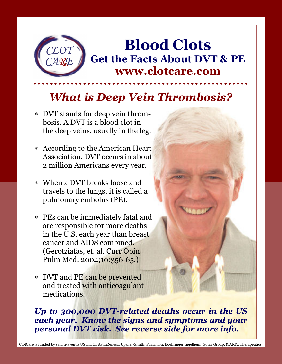

Blood Clots Get the Facts About DVT & PE www.clotcare.com

# What is Deep Vein Thrombosis?

- ∗ DVT stands for deep vein thrombosis. A DVT is a blood clot in the deep veins, usually in the leg.
- ∗ According to the American Heart Association, DVT occurs in about 2 million Americans every year.
- ∗ When a DVT breaks loose and travels to the lungs, it is called a pulmonary embolus (PE).
- ∗ PEs can be immediately fatal and are responsible for more deaths in the U.S. each year than breast cancer and AIDS combined. (Gerotziafas, et. al. Curr Opin Pulm Med. 2004;10:356-65.)
- ∗ DVT and PE can be prevented and treated with anticoagulant medications.

Up to 300,000 DVT-related deaths occur in the US each year. Know the signs and symptoms and your personal DVT risk. See reverse side for more info.